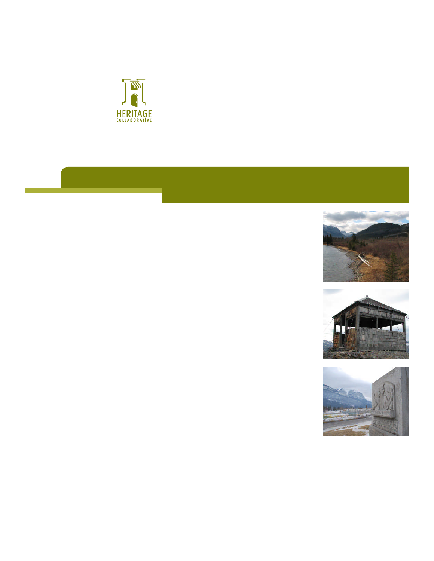





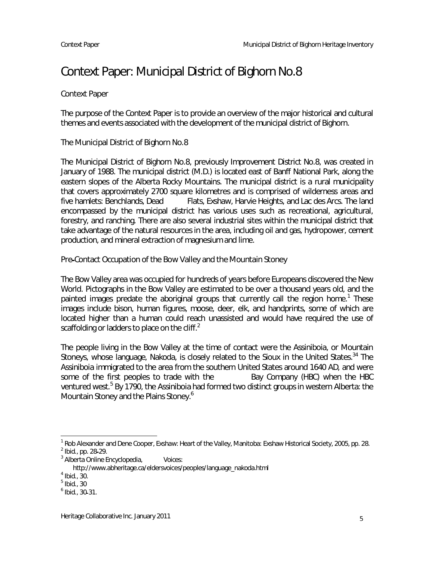# Context Paper: Municipal District of Bighorn No.8

#### Context Paper

The purpose of the Context Paper is to provide an overview of the major historical and cultural themes and events associated with the development of the municipal district of Bighorn.

#### The Municipal District of Bighorn No.8

The Municipal District of Bighorn No.8, previously Improvement District No.8, was created in January of 1988. The municipal district (M.D.) is located east of Banff National Park, along the eastern slopes of the Alberta Rocky Mountains. The municipal district is a rural municipality that covers approximately 2700 square kilometres and is comprised of wilderness areas and five hamlets: Benchlands, Dead Flats, Exshaw, Harvie Heights, and Lac des Arcs. The land encompassed by the municipal district has various uses such as recreational, agricultural, forestry, and ranching. There are also several industrial sites within the municipal district that take advantage of the natural resources in the area, including oil and gas, hydropower, cement production, and mineral extraction of magnesium and lime.

Pre Contact Occupation of the Bow Valley and the Mountain Stoney

The Bow Valley area was occupied for hundreds of years before Europeans discovered the New World. Pictographs in the Bow Valley are estimated to be over a thousand years old, and the painted images predate the aboriginal groups that currently call the region home.<sup>1</sup> These images include bison, human figures, moose, deer, elk, and handprints, some of which are located higher than a human could reach unassisted and would have required the use of scaffolding or ladders to place on the cliff. $<sup>2</sup>$ </sup>

The people living in the Bow Valley at the time of contact were the Assiniboia, or Mountain Stoneys, whose language, Nakoda, is closely related to the Sioux in the United States.<sup>34</sup> The Assiniboia immigrated to the area from the southern United States around 1640 AD, and were some of the first peoples to trade with the Bay Company (HBC) when the HBC ventured west.<sup>5</sup> By 1790, the Assiniboia had formed two distinct groups in western Alberta: the Mountain Stoney and the Plains Stoney.<sup>6</sup>

 $^1$  Rob Alexander and Dene Cooper, Exshaw: Heart of the Valley, Manitoba: Exshaw Historical Society, 2005, pp. 28.

<sup>&</sup>lt;sup>2</sup> Ibid., pp. 28-29.

<sup>&</sup>lt;sup>3</sup> Alberta Online Encyclopedia, Voices:

http://www.abheritage.ca/eldersvoices/peoples/language\_nakoda.html

 $<sup>4</sup>$  Ibid., 30.</sup>

 $^5$  Ibid., 30

 $<sup>6</sup>$  Ibid., 30-31.</sup>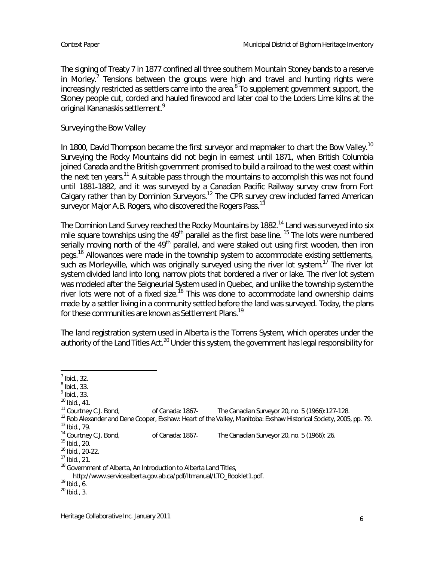The signing of Treaty 7 in 1877 confined all three southern Mountain Stoney bands to a reserve in Morley.<sup>7</sup> Tensions between the groups were high and travel and hunting rights were increasingly restricted as settlers came into the area.<sup>8</sup> To supplement government support, the Stoney people cut, corded and hauled firewood and later coal to the Loders Lime kilns at the original Kananaskis settlement.<sup>9</sup>

Surveying the Bow Valley

In 1800, David Thompson became the first surveyor and mapmaker to chart the Bow Valley.<sup>10</sup> Surveying the Rocky Mountains did not begin in earnest until 1871, when British Columbia joined Canada and the British government promised to build a railroad to the west coast within the next ten years.<sup>11</sup> A suitable pass through the mountains to accomplish this was not found until 1881-1882, and it was surveyed by a Canadian Pacific Railway survey crew from Fort Calgary rather than by Dominion Surveyors.<sup>12</sup> The CPR survey crew included famed American surveyor Major A.B. Rogers, who discovered the Rogers Pass.<sup>13</sup>

The Dominion Land Survey reached the Rocky Mountains by 1882.<sup>14</sup> Land was surveyed into six mile square townships using the 49<sup>th</sup> parallel as the first base line.<sup>15</sup> The lots were numbered serially moving north of the 49<sup>th</sup> parallel, and were staked out using first wooden, then iron pegs.<sup>16</sup> Allowances were made in the township system to accommodate existing settlements, such as Morleyville, which was originally surveyed using the river lot system.<sup>17</sup> The river lot system divided land into long, narrow plots that bordered a river or lake. The river lot system was modeled after the Seigneurial System used in Quebec, and unlike the township system the river lots were not of a fixed size.<sup>18</sup> This was done to accommodate land ownership claims made by a settler living in a community settled before the land was surveyed. Today, the plans for these communities are known as Settlement Plans.<sup>19</sup>

The land registration system used in Alberta is the Torrens System, which operates under the authority of the Land Titles Act.<sup>20</sup> Under this system, the government has legal responsibility for

 $<sup>7</sup>$  Ibid., 32.</sup>

 $<sup>8</sup>$  Ibid., 33.</sup>

 $<sup>9</sup>$  Ibid., 33.</sup>

 $^{10}$  Ibid., 41.<br> $^{11}$  Courtney C.J. Bond, of Canada: 1867 The Canadian Surveyor 20, no. 5 (1966):127-128.

<sup>&</sup>lt;sup>12</sup> Rob Alexander and Dene Cooper, Exshaw: Heart of the Valley, Manitoba: Exshaw Historical Society, 2005, pp. 79. 13 Ibid., 79.<br><sup>14</sup> Courtney C.J. Bond,

of Canada: 1867 The Canadian Surveyor 20, no. 5 (1966): 26.

<sup>15</sup> Ibid., 20.

<sup>&</sup>lt;sup>16</sup> Ibid., 20-22.

 $17$  Ibid., 21.

<sup>&</sup>lt;sup>18</sup> Government of Alberta, An Introduction to Alberta Land Titles,

http://www.servicealberta.gov.ab.ca/pdf/ltmanual/LTO\_Booklet1.pdf.

<sup>19</sup> Ibid., 6.

 $20$  Ibid., 3.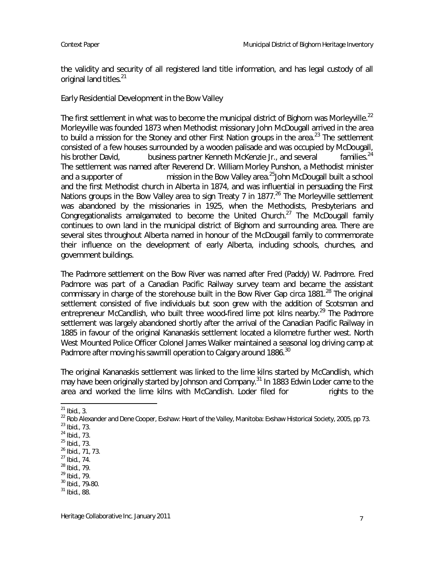the validity and security of all registered land title information, and has legal custody of all original land titles.<sup>21</sup>

Early Residential Development in the Bow Valley

The first settlement in what was to become the municipal district of Bighorn was Morleyville.<sup>22</sup> Morleyville was founded 1873 when Methodist missionary John McDougall arrived in the area to build a mission for the Stoney and other First Nation groups in the area.<sup>23</sup> The settlement consisted of a few houses surrounded by a wooden palisade and was occupied by McDougall, his brother David, business partner Kenneth McKenzie Jr., and several families.<sup>24</sup> The settlement was named after Reverend Dr. William Morley Punshon, a Methodist minister and a supporter of mission in the Bow Valley area.<sup>25</sup>John McDougall built a school and the first Methodist church in Alberta in 1874, and was influential in persuading the First Nations groups in the Bow Valley area to sign Treaty 7 in 1877.<sup>26</sup> The Morleyville settlement was abandoned by the missionaries in 1925, when the Methodists, Presbyterians and Congregationalists amalgamated to become the United Church.<sup>27</sup> The McDougall family continues to own land in the municipal district of Bighorn and surrounding area. There are several sites throughout Alberta named in honour of the McDougall family to commemorate their influence on the development of early Alberta, including schools, churches, and government buildings.

The Padmore settlement on the Bow River was named after Fred (Paddy) W. Padmore. Fred Padmore was part of a Canadian Pacific Railway survey team and became the assistant commissary in charge of the storehouse built in the Bow River Gap circa 1881.<sup>28</sup> The original settlement consisted of five individuals but soon grew with the addition of Scotsman and entrepreneur McCandlish, who built three wood-fired lime pot kilns nearby.<sup>29</sup> The Padmore settlement was largely abandoned shortly after the arrival of the Canadian Pacific Railway in 1885 in favour of the original Kananaskis settlement located a kilometre further west. North West Mounted Police Officer Colonel James Walker maintained a seasonal log driving camp at Padmore after moving his sawmill operation to Calgary around 1886.<sup>30</sup>

The original Kananaskis settlement was linked to the lime kilns started by McCandlish, which may have been originally started by Johnson and Company.<sup>31</sup> In 1883 Edwin Loder came to the area and worked the lime kilns with McCandlish. Loder filed for rights to the

 $^{21}$  Ibid., 3.

<sup>&</sup>lt;sup>22</sup> Rob Alexander and Dene Cooper, Exshaw: Heart of the Valley, Manitoba: Exshaw Historical Society, 2005, pp 73.

 $^{23}$  Ibid., 73.

<sup>24</sup> Ibid., 73.

<sup>25</sup> Ibid., 73.

<sup>26</sup> Ibid., 71, 73.

<sup>27</sup> Ibid., 74.

<sup>28</sup> Ibid., 79.

<sup>29</sup> Ibid., 79.

 $30$  Ibid., 79-80.

 $31$  Ibid., 88.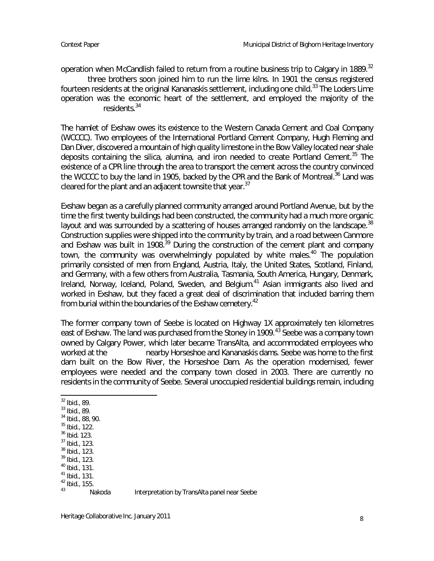operation when McCandlish failed to return from a routine business trip to Calgary in 1889.<sup>32</sup>

three brothers soon joined him to run the lime kilns. In 1901 the census registered fourteen residents at the original Kananaskis settlement, including one child.<sup>33</sup> The Loders Lime operation was the economic heart of the settlement, and employed the majority of the residents.<sup>34</sup>

The hamlet of Exshaw owes its existence to the Western Canada Cement and Coal Company (WCCCC). Two employees of the International Portland Cement Company, Hugh Fleming and Dan Diver, discovered a mountain of high quality limestone in the Bow Valley located near shale deposits containing the silica, alumina, and iron needed to create Portland Cement.<sup>35</sup> The existence of a CPR line through the area to transport the cement across the country convinced the WCCCC to buy the land in 1905, backed by the CPR and the Bank of Montreal.<sup>36</sup> Land was cleared for the plant and an adjacent townsite that year. $37$ 

Exshaw began as a carefully planned community arranged around Portland Avenue, but by the time the first twenty buildings had been constructed, the community had a much more organic layout and was surrounded by a scattering of houses arranged randomly on the landscape.<sup>38</sup> Construction supplies were shipped into the community by train, and a road between Canmore and Exshaw was built in 1908.<sup>39</sup> During the construction of the cement plant and company town, the community was overwhelmingly populated by white males.<sup>40</sup> The population primarily consisted of men from England, Austria, Italy, the United States, Scotland, Finland, and Germany, with a few others from Australia, Tasmania, South America, Hungary, Denmark, Ireland, Norway, Iceland, Poland, Sweden, and Belgium.<sup>41</sup> Asian immigrants also lived and worked in Exshaw, but they faced a great deal of discrimination that included barring them from burial within the boundaries of the Exshaw cemetery.<sup>42</sup>

The former company town of Seebe is located on Highway 1X approximately ten kilometres east of Exshaw. The land was purchased from the Stoney in 1909.<sup>43</sup> Seebe was a company town owned by Calgary Power, which later became TransAlta, and accommodated employees who worked at the nearby Horseshoe and Kananaskis dams. Seebe was home to the first dam built on the Bow River, the Horseshoe Dam. As the operation modernised, fewer employees were needed and the company town closed in 2003. There are currently no residents in the community of Seebe. Several unoccupied residential buildings remain, including

- <sup>33</sup> Ibid., 89.
- <sup>34</sup> Ibid., 88, 90.
- $35$  Ibid., 122.
- <sup>36</sup> Ibid. 123.
- <sup>37</sup> Ibid., 123.
- <sup>38</sup> Ibid., 123. <sup>39</sup> Ibid., 123.
- <sup>40</sup> Ibid., 131.
- <sup>41</sup> Ibid., 131.
- $^{42}_{43}$  Ibid., 155.
- 

Nakoda Interpretation by TransAlta panel near Seebe

<sup>32</sup> Ibid., 89.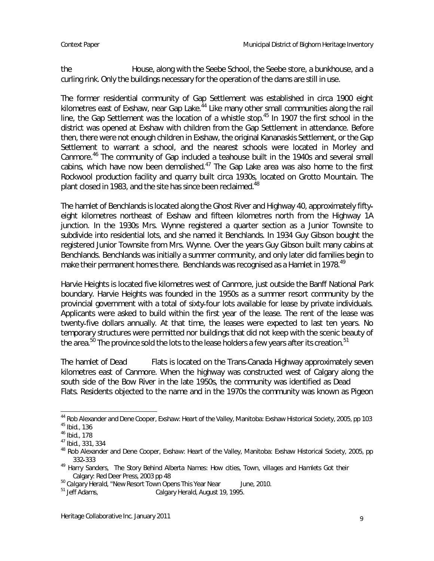the House, along with the Seebe School, the Seebe store, a bunkhouse, and a curling rink. Only the buildings necessary for the operation of the dams are still in use.

The former residential community of Gap Settlement was established in circa 1900 eight kilometres east of Exshaw, near Gap Lake. $^{44}$  Like many other small communities along the rail line, the Gap Settlement was the location of a whistle stop.<sup>45</sup> In 1907 the first school in the district was opened at Exshaw with children from the Gap Settlement in attendance. Before then, there were not enough children in Exshaw, the original Kananaskis Settlement, or the Gap Settlement to warrant a school, and the nearest schools were located in Morley and Canmore.<sup>46</sup> The community of Gap included a teahouse built in the 1940s and several small cabins, which have now been demolished. $47$  The Gap Lake area was also home to the first Rockwool production facility and quarry built circa 1930s, located on Grotto Mountain. The plant closed in 1983, and the site has since been reclaimed.<sup>48</sup>

The hamlet of Benchlands is located along the Ghost River and Highway 40, approximately fifty eight kilometres northeast of Exshaw and fifteen kilometres north from the Highway 1A junction. In the 1930s Mrs. Wynne registered a quarter section as a Junior Townsite to subdivide into residential lots, and she named it Benchlands. In 1934 Guy Gibson bought the registered Junior Townsite from Mrs. Wynne. Over the years Guy Gibson built many cabins at Benchlands. Benchlands was initially a summer community, and only later did families begin to make their permanent homes there. Benchlands was recognised as a Hamlet in 1978.<sup>49</sup>

Harvie Heights is located five kilometres west of Canmore, just outside the Banff National Park boundary. Harvie Heights was founded in the 1950s as a summer resort community by the provincial government with a total of sixty four lots available for lease by private individuals. Applicants were asked to build within the first year of the lease. The rent of the lease was twenty five dollars annually. At that time, the leases were expected to last ten years. No temporary structures were permitted nor buildings that did not keep with the scenic beauty of the area.<sup>50</sup> The province sold the lots to the lease holders a few years after its creation.<sup>51</sup>

The hamlet of Dead Flats is located on the Trans-Canada Highway approximately seven kilometres east of Canmore. When the highway was constructed west of Calgary along the south side of the Bow River in the late 1950s, the community was identified as Dead Flats. Residents objected to the name and in the 1970s the community was known as Pigeon

<sup>&</sup>lt;sup>44</sup> Rob Alexander and Dene Cooper, Exshaw: Heart of the Valley, Manitoba: Exshaw Historical Society, 2005, pp 103  $45$  Ibid., 136

<sup>46</sup> Ibid., 178

<sup>47</sup> Ibid., 331, 334

<sup>&</sup>lt;sup>48</sup> Rob Alexander and Dene Cooper, Exshaw: Heart of the Valley, Manitoba: Exshaw Historical Society, 2005, pp 332 333

<sup>&</sup>lt;sup>49</sup> Harry Sanders, The Story Behind Alberta Names: How cities, Town, villages and Hamlets Got their Calgary: Red Deer Press, 2003 pp 48

 $50$  Calgary Herald, "New Resort Town Opens This Year Near June, 2010.<br> $51$  Jeff Adams. Calgary Herald, August 19, 1995.

Calgary Herald, August 19, 1995.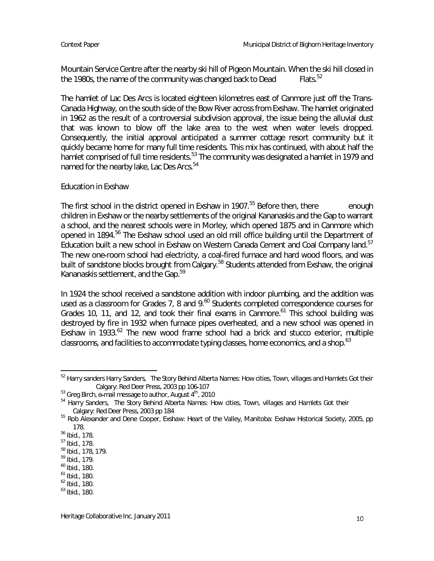Mountain Service Centre after the nearby ski hill of Pigeon Mountain. When the ski hill closed in<br>the 1980s, the name of the community was changed back to Dead [15] Flats <sup>52</sup> the 1980s, the name of the community was changed back to Dead

The hamlet of Lac Des Arcs is located eighteen kilometres east of Canmore just off the Trans Canada Highway, on the south side of the Bow River across from Exshaw. The hamlet originated in 1962 as the result of a controversial subdivision approval, the issue being the alluvial dust that was known to blow off the lake area to the west when water levels dropped. Consequently, the initial approval anticipated a summer cottage resort community but it quickly became home for many full time residents. This mix has continued, with about half the hamlet comprised of full time residents.<sup>53</sup> The community was designated a hamlet in 1979 and named for the nearby lake, Lac Des Arcs.<sup>54</sup>

## Education in Exshaw

The first school in the district opened in Exshaw in 1907.<sup>55</sup> Before then, there enough children in Exshaw or the nearby settlements of the original Kananaskis and the Gap to warrant a school, and the nearest schools were in Morley, which opened 1875 and in Canmore which opened in 1894.<sup>56</sup> The Exshaw school used an old mill office building until the Department of Education built a new school in Exshaw on Western Canada Cement and Coal Company land.<sup>57</sup> The new one room school had electricity, a coal fired furnace and hard wood floors, and was built of sandstone blocks brought from Calgary.<sup>58</sup> Students attended from Exshaw, the original Kananaskis settlement, and the Gap.<sup>59</sup>

In 1924 the school received a sandstone addition with indoor plumbing, and the addition was used as a classroom for Grades 7, 8 and 9.<sup>60</sup> Students completed correspondence courses for Grades 10, 11, and 12, and took their final exams in Canmore.<sup>61</sup> This school building was destroyed by fire in 1932 when furnace pipes overheated, and a new school was opened in Exshaw in  $1933.62$  The new wood frame school had a brick and stucco exterior, multiple classrooms, and facilities to accommodate typing classes, home economics, and a shop.<sup>63</sup>

<sup>52</sup> Harry sanders Harry Sanders, The Story Behind Alberta Names: How cities, Town, villages and Hamlets Got their Calgary: Red Deer Press, 2003 pp 106 107

 $53$  Greg Birch, e-mail message to author, August  $4^{\text{th}}$ , 2010

<sup>&</sup>lt;sup>54</sup> Harry Sanders, The Story Behind Alberta Names: How cities, Town, villages and Hamlets Got their Calgary: Red Deer Press, 2003 pp 184

<sup>55</sup> Rob Alexander and Dene Cooper, Exshaw: Heart of the Valley, Manitoba: Exshaw Historical Society, 2005, pp 178.

<sup>56</sup> Ibid., 178.

<sup>57</sup> Ibid., 178.

<sup>58</sup> Ibid., 178, 179.

<sup>59</sup> Ibid., 179.

<sup>60</sup> Ibid., 180.

<sup>61</sup> Ibid., 180.

<sup>62</sup> Ibid., 180.

<sup>63</sup> Ibid., 180.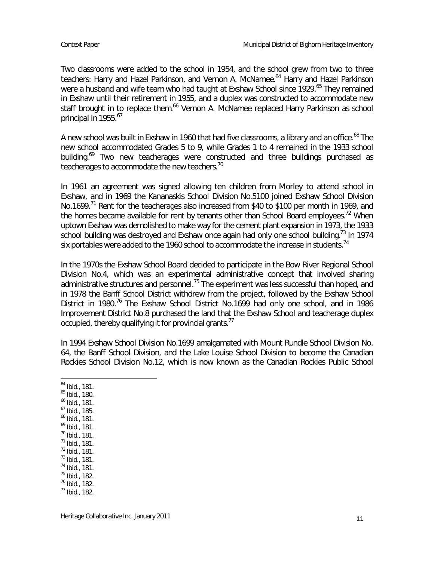Two classrooms were added to the school in 1954, and the school grew from two to three teachers: Harry and Hazel Parkinson, and Vernon A. McNamee.<sup>64</sup> Harry and Hazel Parkinson were a husband and wife team who had taught at Exshaw School since 1929.<sup>65</sup> They remained in Exshaw until their retirement in 1955, and a duplex was constructed to accommodate new staff brought in to replace them.<sup>66</sup> Vernon A. McNamee replaced Harry Parkinson as school principal in 1955.<sup>67</sup>

A new school was built in Exshaw in 1960 that had five classrooms, a library and an office.<sup>68</sup> The new school accommodated Grades 5 to 9, while Grades 1 to 4 remained in the 1933 school building.<sup>69</sup> Two new teacherages were constructed and three buildings purchased as teacherages to accommodate the new teachers.<sup>70</sup>

In 1961 an agreement was signed allowing ten children from Morley to attend school in Exshaw, and in 1969 the Kananaskis School Division No.5100 joined Exshaw School Division No.1699.<sup>71</sup> Rent for the teacherages also increased from \$40 to \$100 per month in 1969, and the homes became available for rent by tenants other than School Board employees.<sup>72</sup> When uptown Exshaw was demolished to make way for the cement plant expansion in 1973, the 1933 school building was destroyed and Exshaw once again had only one school building.<sup>73</sup> In 1974 six portables were added to the 1960 school to accommodate the increase in students.<sup>74</sup>

In the 1970s the Exshaw School Board decided to participate in the Bow River Regional School Division No.4, which was an experimental administrative concept that involved sharing administrative structures and personnel.<sup>75</sup> The experiment was less successful than hoped, and in 1978 the Banff School District withdrew from the project, followed by the Exshaw School District in 1980.<sup>76</sup> The Exshaw School District No.1699 had only one school, and in 1986 Improvement District No.8 purchased the land that the Exshaw School and teacherage duplex occupied, thereby qualifying it for provincial grants. $<sup>77</sup>$ </sup>

In 1994 Exshaw School Division No.1699 amalgamated with Mount Rundle School Division No. 64, the Banff School Division, and the Lake Louise School Division to become the Canadian Rockies School Division No.12, which is now known as the Canadian Rockies Public School

<sup>64</sup> Ibid., 181.

<sup>65</sup> Ibid., 180.

- <sup>66</sup> Ibid., 181.
- <sup>67</sup> Ibid., 185.
- <sup>68</sup> Ibid., 181.
- <sup>69</sup> Ibid., 181.
- <sup>70</sup> Ibid., 181. <sup>71</sup> Ibid., 181.
- <sup>72</sup> Ibid., 181.
- <sup>73</sup> Ibid., 181.
- <sup>74</sup> Ibid., 181.
- <sup>75</sup> Ibid., 182.
- <sup>76</sup> Ibid., 182.
- $77$  Ibid., 182.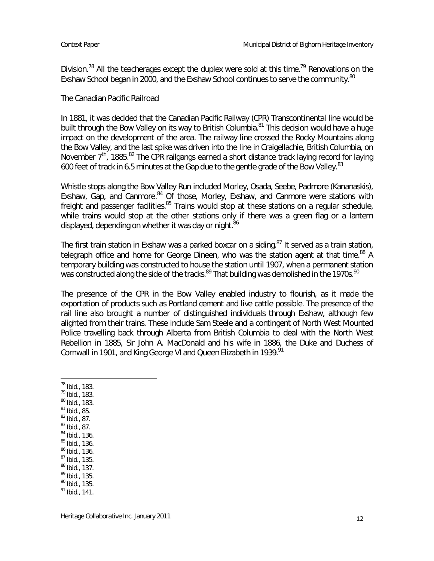Division.<sup>78</sup> All the teacherages except the duplex were sold at this time.<sup>79</sup> Renovations on the Exshaw School began in 2000, and the Exshaw School continues to serve the community.<sup>80</sup>

#### The Canadian Pacific Railroad

In 1881, it was decided that the Canadian Pacific Railway (CPR) Transcontinental line would be built through the Bow Valley on its way to British Columbia.<sup>81</sup> This decision would have a huge impact on the development of the area. The railway line crossed the Rocky Mountains along the Bow Valley, and the last spike was driven into the line in Craigellachie, British Columbia, on November 7<sup>th</sup>, 1885.<sup>82</sup> The CPR railgangs earned a short distance track laying record for laying 600 feet of track in 6.5 minutes at the Gap due to the gentle grade of the Bow Valley.<sup>83</sup>

Whistle stops along the Bow Valley Run included Morley, Osada, Seebe, Padmore (Kananaskis), Exshaw, Gap, and Canmore.<sup>84</sup> Of those, Morley, Exshaw, and Canmore were stations with freight and passenger facilities.<sup>85</sup> Trains would stop at these stations on a regular schedule, while trains would stop at the other stations only if there was a green flag or a lantern displayed, depending on whether it was day or night.<sup>86</sup>

The first train station in Exshaw was a parked boxcar on a siding.<sup>87</sup> It served as a train station, telegraph office and home for George Dineen, who was the station agent at that time.<sup>88</sup> A temporary building was constructed to house the station until 1907, when a permanent station was constructed along the side of the tracks.<sup>89</sup> That building was demolished in the 1970s.<sup>90</sup>

The presence of the CPR in the Bow Valley enabled industry to flourish, as it made the exportation of products such as Portland cement and live cattle possible. The presence of the rail line also brought a number of distinguished individuals through Exshaw, although few alighted from their trains. These include Sam Steele and a contingent of North West Mounted Police travelling back through Alberta from British Columbia to deal with the North West Rebellion in 1885, Sir John A. MacDonald and his wife in 1886, the Duke and Duchess of Cornwall in 1901, and King George VI and Queen Elizabeth in 1939.<sup>91</sup>

<sup>79</sup> Ibid., 183.

- <sup>80</sup> Ibid., 183.
- $81$  Ibid., 85.
- <sup>82</sup> Ibid., 87.
- $83$  Ibid., 87. <sup>84</sup> Ibid., 136.
- <sup>85</sup> Ibid., 136.
- <sup>86</sup> Ibid., 136.
- <sup>87</sup> Ibid., 135.
- <sup>88</sup> Ibid., 137.
- <sup>89</sup> Ibid., 135.
- <sup>90</sup> Ibid., 135.
- $91$  Ibid., 141.

<sup>78</sup> Ibid., 183.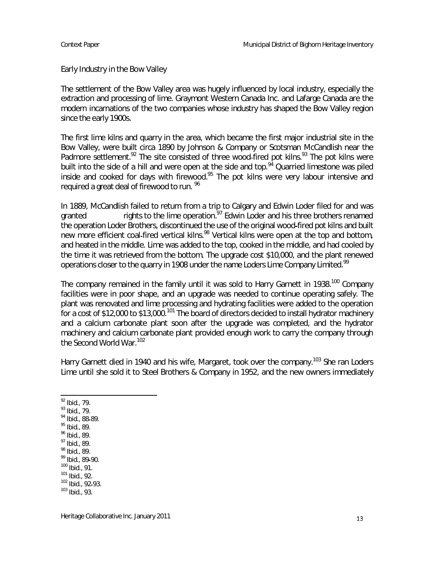Early Industry in the Bow Valley

The settlement of the Bow Valley area was hugely influenced by local industry, especially the extraction and processing of lime. Graymont Western Canada Inc. and Lafarge Canada are the modern incarnations of the two companies whose industry has shaped the Bow Valley region since the early 1900s.

The first lime kilns and quarry in the area, which became the first major industrial site in the Bow Valley, were built circa 1890 by Johnson & Company or Scotsman McCandlish near the Padmore settlement.<sup>92</sup> The site consisted of three wood-fired pot kilns.<sup>93</sup> The pot kilns were built into the side of a hill and were open at the side and top.<sup>94</sup> Quarried limestone was piled inside and cooked for days with firewood.<sup>95</sup> The pot kilns were very labour intensive and required a great deal of firewood to run. <sup>96</sup>

In 1889, McCandlish failed to return from a trip to Calgary and Edwin Loder filed for and was granted rights to the lime operation.<sup>97</sup> Edwin Loder and his three brothers renamed the operation Loder Brothers, discontinued the use of the original wood fired pot kilns and built new more efficient coal-fired vertical kilns.<sup>98</sup> Vertical kilns were open at the top and bottom, and heated in the middle. Lime was added to the top, cooked in the middle, and had cooled by the time it was retrieved from the bottom. The upgrade cost \$10,000, and the plant renewed operations closer to the quarry in 1908 under the name Loders Lime Company Limited.<sup>99</sup>

The company remained in the family until it was sold to Harry Garnett in 1938.<sup>100</sup> Company facilities were in poor shape, and an upgrade was needed to continue operating safely. The plant was renovated and lime processing and hydrating facilities were added to the operation for a cost of \$12,000 to \$13,000.<sup>101</sup> The board of directors decided to install hydrator machinery and a calcium carbonate plant soon after the upgrade was completed, and the hydrator machinery and calcium carbonate plant provided enough work to carry the company through the Second World War.<sup>102</sup>

Harry Garnett died in 1940 and his wife, Margaret, took over the company.<sup>103</sup> She ran Loders Lime until she sold it to Steel Brothers & Company in 1952, and the new owners immediately

- <sup>93</sup> Ibid., 79.
- <sup>94</sup> Ibid., 88-89.
- $95$  Ibid., 89. <sup>96</sup> Ibid., 89.
- <sup>97</sup> Ibid., 89.
- <sup>98</sup> Ibid., 89.
- 99 Ibid., 89-90.
- <sup>100</sup> Ibid., 91.
- <sup>101</sup> Ibid., 92.
- $102$  Ibid., 92-93.
- <sup>103</sup> Ibid., 93.

<sup>92</sup> Ibid., 79.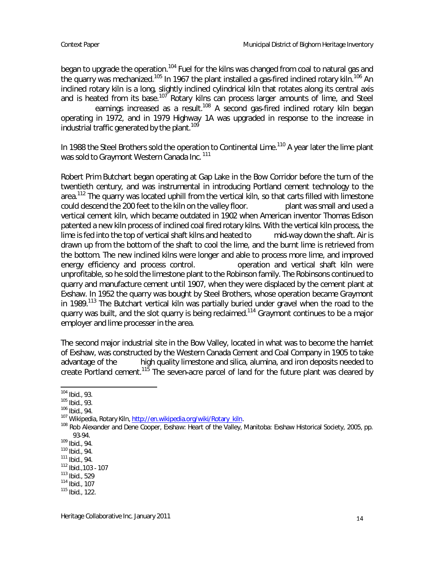began to upgrade the operation.<sup>104</sup> Fuel for the kilns was changed from coal to natural gas and the quarry was mechanized.<sup>105</sup> In 1967 the plant installed a gas-fired inclined rotary kiln.<sup>106</sup> An inclined rotary kiln is a long, slightly inclined cylindrical kiln that rotates along its central axis and is heated from its base.<sup>107</sup> Rotary kilns can process larger amounts of lime, and Steel earnings increased as a result.<sup>108</sup> A second gas-fired inclined rotary kiln began operating in 1972, and in 1979 Highway 1A was upgraded in response to the increase in industrial traffic generated by the plant.<sup>109</sup>

In 1988 the Steel Brothers sold the operation to Continental Lime.<sup>110</sup> A year later the lime plant was sold to Graymont Western Canada Inc.<sup>111</sup>

Robert Prim Butchart began operating at Gap Lake in the Bow Corridor before the turn of the twentieth century, and was instrumental in introducing Portland cement technology to the area.<sup>112</sup> The quarry was located uphill from the vertical kiln, so that carts filled with limestone could descend the 200 feet to the kiln on the valley floor. plant was small and used a vertical cement kiln, which became outdated in 1902 when American inventor Thomas Edison patented a new kiln process of inclined coal fired rotary kilns. With the vertical kiln process, the lime is fed into the top of vertical shaft kilns and heated to mid way down the shaft. Air is drawn up from the bottom of the shaft to cool the lime, and the burnt lime is retrieved from the bottom. The new inclined kilns were longer and able to process more lime, and improved energy efficiency and process control. The operation and vertical shaft kiln were unprofitable, so he sold the limestone plant to the Robinson family. The Robinsons continued to quarry and manufacture cement until 1907, when they were displaced by the cement plant at Exshaw. In 1952 the quarry was bought by Steel Brothers, whose operation became Graymont in 1989.<sup>113</sup> The Butchart vertical kiln was partially buried under gravel when the road to the quarry was built, and the slot quarry is being reclaimed.<sup>114</sup> Graymont continues to be a major employer and lime processer in the area.

The second major industrial site in the Bow Valley, located in what was to become the hamlet of Exshaw, was constructed by the Western Canada Cement and Coal Company in 1905 to take advantage of the high quality limestone and silica, alumina, and iron deposits needed to create Portland cement.<sup>115</sup> The seven-acre parcel of land for the future plant was cleared by

<sup>104</sup> Ibid., 93.

<sup>105</sup> Ibid., 93.

<sup>106</sup> Ibid., 94.

<sup>107</sup> Wikipedia, Rotary Kiln, http://en.wikipedia.org/wiki/Rotary\_kiln.

<sup>108</sup> Rob Alexander and Dene Cooper, Exshaw: Heart of the Valley, Manitoba: Exshaw Historical Society, 2005, pp. 93 94.

<sup>109</sup> Ibid., 94.

 $110$  Ibid., 94.

 $111$  Ibid., 94.

 $112$  Ibid., 103 - 107

<sup>113</sup> Ibid., 529

<sup>114</sup> Ibid., 107

<sup>115</sup> Ibid., 122.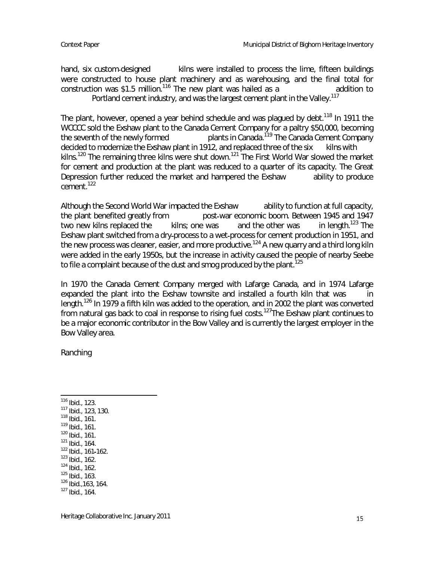hand, six custom-designed kilns were installed to process the lime, fifteen buildings were constructed to house plant machinery and as warehousing, and the final total for construction was \$1.5 million.<sup>116</sup> The new plant was hailed as a  $\sim$  addition to Portland cement industry, and was the largest cement plant in the Valley.<sup>117</sup>

The plant, however, opened a year behind schedule and was plagued by debt.<sup>118</sup> In 1911 the WCCCC sold the Exshaw plant to the Canada Cement Company for a paltry \$50,000, becoming the seventh of the newly formed plants in Canada.<sup>119</sup> The Canada Cement Company decided to modernize the Exshaw plant in 1912, and replaced three of the six kilns with kilns.<sup>120</sup> The remaining three kilns were shut down.<sup>121</sup> The First World War slowed the market for cement and production at the plant was reduced to a quarter of its capacity. The Great Depression further reduced the market and hampered the Exshaw ability to produce cement.<sup>122</sup>

Although the Second World War impacted the Exshaw ability to function at full capacity, the plant benefited greatly from post war economic boom. Between 1945 and 1947 two new kilns replaced the kilns; one was and the other was in length.<sup>123</sup> The Exshaw plant switched from a dry-process to a wet-process for cement production in 1951, and the new process was cleaner, easier, and more productive.<sup>124</sup> A new quarry and a third long kiln were added in the early 1950s, but the increase in activity caused the people of nearby Seebe to file a complaint because of the dust and smog produced by the plant.<sup>125</sup>

In 1970 the Canada Cement Company merged with Lafarge Canada, and in 1974 Lafarge expanded the plant into the Exshaw townsite and installed a fourth kiln that was length.<sup>126</sup> In 1979 a fifth kiln was added to the operation, and in 2002 the plant was converted from natural gas back to coal in response to rising fuel costs.<sup>127</sup>The Exshaw plant continues to be a major economic contributor in the Bow Valley and is currently the largest employer in the Bow Valley area.

Ranching

 Ibid., 123. Ibid., 123, 130. Ibid., 161. Ibid., 161. Ibid., 161. Ibid., 164. Ibid., 161 162. Ibid., 162. Ibid., 162. Ibid., 163. Ibid.,163, 164. Ibid., 164.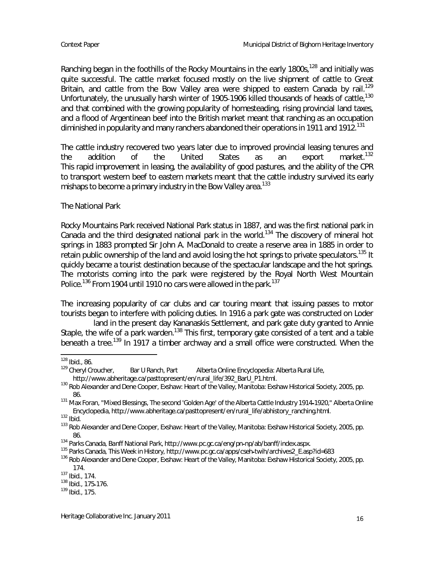Ranching began in the foothills of the Rocky Mountains in the early 1800s,<sup>128</sup> and initially was quite successful. The cattle market focused mostly on the live shipment of cattle to Great Britain, and cattle from the Bow Valley area were shipped to eastern Canada by rail.<sup>129</sup> Unfortunately, the unusually harsh winter of 1905-1906 killed thousands of heads of cattle,<sup>130</sup> and that combined with the growing popularity of homesteading, rising provincial land taxes, and a flood of Argentinean beef into the British market meant that ranching as an occupation diminished in popularity and many ranchers abandoned their operations in 1911 and 1912.<sup>131</sup>

The cattle industry recovered two years later due to improved provincial leasing tenures and<br>the addition of the United States as an export market.<sup>132</sup> the addition of the United States as an export market.<sup>132</sup> This rapid improvement in leasing, the availability of good pastures, and the ability of the CPR to transport western beef to eastern markets meant that the cattle industry survived its early mishaps to become a primary industry in the Bow Valley area.<sup>133</sup>

### The National Park

Rocky Mountains Park received National Park status in 1887, and was the first national park in Canada and the third designated national park in the world.<sup>134</sup> The discovery of mineral hot springs in 1883 prompted Sir John A. MacDonald to create a reserve area in 1885 in order to retain public ownership of the land and avoid losing the hot springs to private speculators.<sup>135</sup> It quickly became a tourist destination because of the spectacular landscape and the hot springs. The motorists coming into the park were registered by the Royal North West Mountain Police.<sup>136</sup> From 1904 until 1910 no cars were allowed in the park.<sup>137</sup>

The increasing popularity of car clubs and car touring meant that issuing passes to motor tourists began to interfere with policing duties. In 1916 a park gate was constructed on Loder

land in the present day Kananaskis Settlement, and park gate duty granted to Annie Staple, the wife of a park warden.<sup>138</sup> This first, temporary gate consisted of a tent and a table beneath a tree.<sup>139</sup> In 1917 a timber archway and a small office were constructed. When the

 $^{128}$  Ibid., 86.<br> $^{129}$  Cheryl Croucher, Bar U Ranch, Part Alberta Online Encyclopedia: Alberta Rural Life, http://www.abheritage.ca/pasttopresent/en/rural\_life/392\_BarU\_P1.html.

<sup>&</sup>lt;sup>130</sup> Rob Alexander and Dene Cooper, Exshaw: Heart of the Valley, Manitoba: Exshaw Historical Society, 2005, pp. 86.

<sup>&</sup>lt;sup>131</sup> Max Foran, "Mixed Blessings, The second 'Golden Age' of the Alberta Cattle Industry 1914-1920," Alberta Online Encyclopedia, http://www.abheritage.ca/pasttopresent/en/rural\_life/abhistory\_ranching.html.

 $132$  Ibid.

<sup>133</sup> Rob Alexander and Dene Cooper, Exshaw: Heart of the Valley, Manitoba: Exshaw Historical Society, 2005, pp. 86.

<sup>&</sup>lt;sup>134</sup> Parks Canada, Banff National Park, http://www.pc.gc.ca/eng/pn-np/ab/banff/index.aspx.

<sup>135</sup> Parks Canada, This Week in History, http://www.pc.gc.ca/apps/cseh twih/archives2\_E.asp?id=683

<sup>136</sup> Rob Alexander and Dene Cooper, Exshaw: Heart of the Valley, Manitoba: Exshaw Historical Society, 2005, pp. 174.

<sup>137</sup> Ibid., 174.

<sup>138</sup> Ibid., 175 176.

<sup>139</sup> Ibid., 175.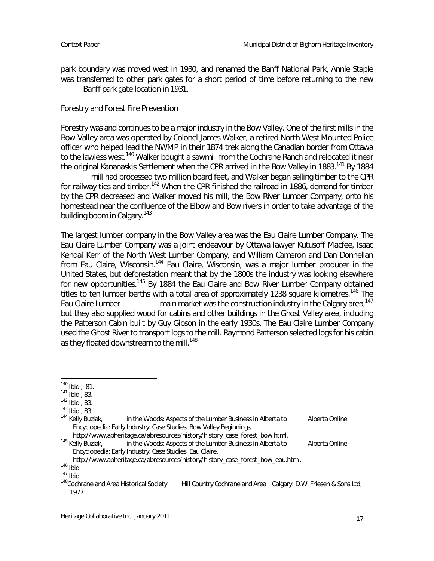park boundary was moved west in 1930, and renamed the Banff National Park, Annie Staple was transferred to other park gates for a short period of time before returning to the new Banff park gate location in 1931.

Forestry and Forest Fire Prevention

Forestry was and continues to be a major industry in the Bow Valley. One of the first mills in the Bow Valley area was operated by Colonel James Walker, a retired North West Mounted Police officer who helped lead the NWMP in their 1874 trek along the Canadian border from Ottawa to the lawless west.<sup>140</sup> Walker bought a sawmill from the Cochrane Ranch and relocated it near the original Kananaskis Settlement when the CPR arrived in the Bow Valley in 1883.<sup>141</sup> By 1884

mill had processed two million board feet, and Walker began selling timber to the CPR for railway ties and timber.<sup>142</sup> When the CPR finished the railroad in 1886, demand for timber by the CPR decreased and Walker moved his mill, the Bow River Lumber Company, onto his homestead near the confluence of the Elbow and Bow rivers in order to take advantage of the building boom in Calgary.<sup>143</sup>

The largest lumber company in the Bow Valley area was the Eau Claire Lumber Company. The Eau Claire Lumber Company was a joint endeavour by Ottawa lawyer Kutusoff Macfee, Isaac Kendal Kerr of the North West Lumber Company, and William Cameron and Dan Donnellan from Eau Claire, Wisconsin.<sup>144</sup> Eau Claire, Wisconsin, was a major lumber producer in the United States, but deforestation meant that by the 1800s the industry was looking elsewhere for new opportunities.<sup>145</sup> By 1884 the Eau Claire and Bow River Lumber Company obtained titles to ten lumber berths with a total area of approximately 1238 square kilometres.<sup>146</sup> The Eau Claire Lumber main market was the construction industry in the Calgary area,<sup>147</sup> but they also supplied wood for cabins and other buildings in the Ghost Valley area, including the Patterson Cabin built by Guy Gibson in the early 1930s. The Eau Claire Lumber Company used the Ghost River to transport logs to the mill. Raymond Patterson selected logs for his cabin as they floated downstream to the mill.<sup>148</sup>

http://www.abheritage.ca/abresources/history/history\_case\_forest\_bow.html.<br><sup>145</sup> Kelly Buziak. **http://www.abheritage.ca/abresources/history/history\_case\_forest\_bow.html** in the Woods: Aspects of the Lumber Business in Alberta to Alberta Online

Encyclopedia: Early Industry: Case Studies: Eau Claire,

http://www.abheritage.ca/abresources/history/history\_case\_forest\_bow\_eau.html.

<sup>140</sup> Ibid., 81.

<sup>141</sup> Ibid., 83.

<sup>142</sup> Ibid., 83.

 $^{143}$  Ibid., 83<br> $^{144}$  Kelly Buziak, in the Woods: Aspects of the Lumber Business in Alberta to Alberta Online Encyclopedia: Early Industry: Case Studies: Bow Valley Beginnings,

 $146$  Ibid.

<sup>147</sup> Ibid.<br><sup>148</sup> Cochrane and Area Historical Society Hill Country Cochrane and Area Calgary: D.W. Friesen & Sons Ltd, 1977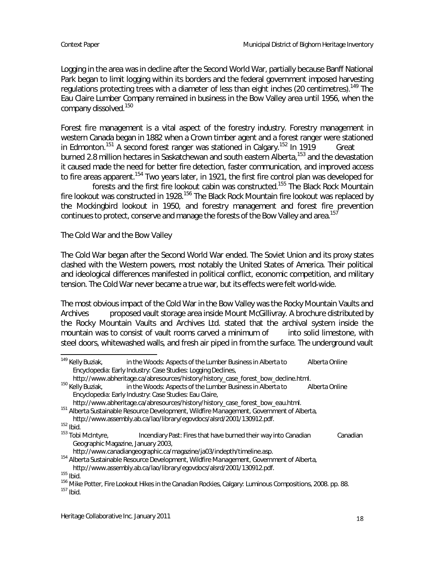Logging in the area was in decline after the Second World War, partially because Banff National Park began to limit logging within its borders and the federal government imposed harvesting regulations protecting trees with a diameter of less than eight inches (20 centimetres).<sup>149</sup> The Eau Claire Lumber Company remained in business in the Bow Valley area until 1956, when the company dissolved.<sup>150</sup>

Forest fire management is a vital aspect of the forestry industry. Forestry management in western Canada began in 1882 when a Crown timber agent and a forest ranger were stationed in Edmonton.<sup>151</sup> A second forest ranger was stationed in Calgary.<sup>152</sup> In 1919 Great burned 2.8 million hectares in Saskatchewan and south eastern Alberta,<sup>153</sup> and the devastation it caused made the need for better fire detection, faster communication, and improved access to fire areas apparent.<sup>154</sup> Two years later, in 1921, the first fire control plan was developed for

forests and the first fire lookout cabin was constructed.<sup>155</sup> The Black Rock Mountain fire lookout was constructed in 1928.<sup>156</sup> The Black Rock Mountain fire lookout was replaced by the Mockingbird lookout in 1950, and forestry management and forest fire prevention continues to protect, conserve and manage the forests of the Bow Valley and area.<sup>157</sup>

The Cold War and the Bow Valley

The Cold War began after the Second World War ended. The Soviet Union and its proxy states clashed with the Western powers, most notably the United States of America. Their political and ideological differences manifested in political conflict, economic competition, and military tension. The Cold War never became a true war, but its effects were felt world-wide.

The most obvious impact of the Cold War in the Bow Valley was the Rocky Mountain Vaults and Archives proposed vault storage area inside Mount McGillivray. A brochure distributed by the Rocky Mountain Vaults and Archives Ltd. stated that the archival system inside the mountain was to consist of vault rooms carved a minimum of into solid limestone, with steel doors, whitewashed walls, and fresh air piped in from the surface. The underground vault

<sup>154</sup> Alberta Sustainable Resource Development, Wildfire Management, Government of Alberta, http://www.assembly.ab.ca/lao/library/egovdocs/alsrd/2001/130912.pdf.

 $155$  Ibid.

<sup>156</sup> Mike Potter, Fire Lookout Hikes in the Canadian Rockies, Calgary: Luminous Compositions, 2008. pp. 88. <sup>157</sup> Ibid.

<sup>&</sup>lt;sup>149</sup> Kelly Buziak, in the Woods: Aspects of the Lumber Business in Alberta to Alberta Online Encyclopedia: Early Industry: Case Studies: Logging Declines,

http://www.abheritage.ca/abresources/history/history\_case\_forest\_bow\_decline.html.<br><sup>150</sup> Kellv Buziak, in the Woods: Aspects of the Lumber Business in Alberta to A in the Woods: Aspects of the Lumber Business in Alberta to Alberta Online Encyclopedia: Early Industry: Case Studies: Eau Claire,

http://www.abheritage.ca/abresources/history/history\_case\_forest\_bow\_eau.html.

<sup>&</sup>lt;sup>151</sup> Alberta Sustainable Resource Development, Wildfire Management, Government of Alberta, http://www.assembly.ab.ca/lao/library/egovdocs/alsrd/2001/130912.pdf.

<sup>&</sup>lt;sup>152</sup> Ibid.<br><sup>153</sup> Tobi McIntyre, Incendiary Past: Fires that have burned their way into Canadian Canadian Geographic Magazine, January 2003,

http://www.canadiangeographic.ca/magazine/ja03/indepth/timeline.asp.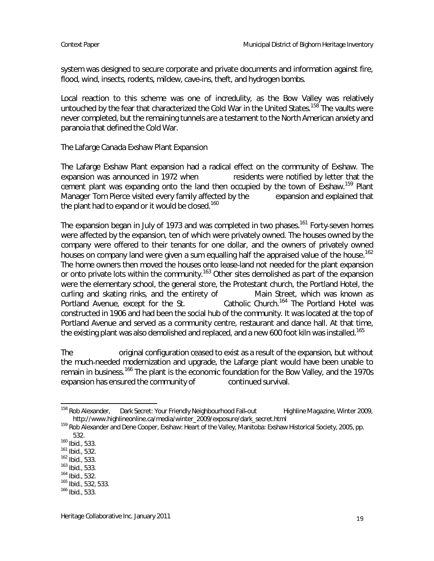system was designed to secure corporate and private documents and information against fire, flood, wind, insects, rodents, mildew, cave ins, theft, and hydrogen bombs.

Local reaction to this scheme was one of incredulity, as the Bow Valley was relatively untouched by the fear that characterized the Cold War in the United States.<sup>158</sup> The vaults were never completed, but the remaining tunnels are a testament to the North American anxiety and paranoia that defined the Cold War.

### The Lafarge Canada Exshaw Plant Expansion

The Lafarge Exshaw Plant expansion had a radical effect on the community of Exshaw. The expansion was announced in 1972 when residents were notified by letter that the cement plant was expanding onto the land then occupied by the town of Exshaw.<sup>159</sup> Plant Manager Tom Pierce visited every family affected by the expansion and explained that the plant had to expand or it would be closed.<sup>160</sup>

The expansion began in July of 1973 and was completed in two phases.<sup>161</sup> Forty-seven homes were affected by the expansion, ten of which were privately owned. The houses owned by the company were offered to their tenants for one dollar, and the owners of privately owned houses on company land were given a sum equalling half the appraised value of the house.<sup>162</sup> The home owners then moved the houses onto lease land not needed for the plant expansion or onto private lots within the community.<sup>163</sup> Other sites demolished as part of the expansion were the elementary school, the general store, the Protestant church, the Portland Hotel, the curling and skating rinks, and the entirety of Main Street, which was known as Portland Avenue, except for the St. Catholic Church.<sup>164</sup> The Portland Hotel was constructed in 1906 and had been the social hub of the community. It was located at the top of Portland Avenue and served as a community centre, restaurant and dance hall. At that time, the existing plant was also demolished and replaced, and a new 600 foot kiln was installed.<sup>165</sup>

The original configuration ceased to exist as a result of the expansion, but without the much needed modernization and upgrade, the Lafarge plant would have been unable to remain in business.<sup>166</sup> The plant is the economic foundation for the Bow Valley, and the 1970s expansion has ensured the community of continued survival.

<sup>&</sup>lt;sup>158</sup> Rob Alexander, Dark Secret: Your Friendly Neighbourhood Fall-out Highline Magazine, Winter 2009, http://www.highlineonline.ca/media/winter\_2009/exposure/dark\_secret.html

<sup>159</sup> Rob Alexander and Dene Cooper, Exshaw: Heart of the Valley, Manitoba: Exshaw Historical Society, 2005, pp. 532.

<sup>160</sup> Ibid., 533.

<sup>161</sup> Ibid., 532.

<sup>162</sup> Ibid., 533.

 $163$  Ibid., 533.

<sup>164</sup> Ibid., 532.

<sup>165</sup> Ibid., 532, 533.

<sup>166</sup> Ibid., 533.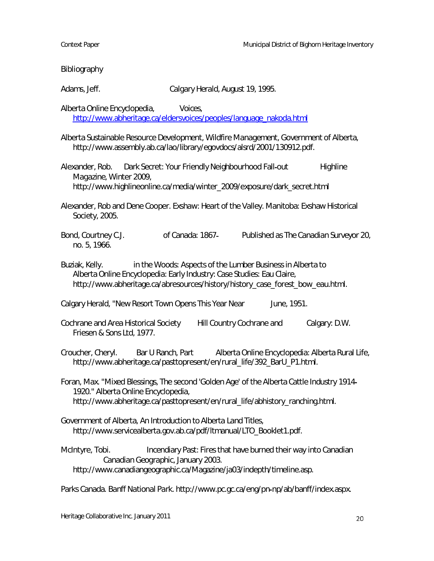Bibliography Adams, Jeff. Calgary Herald, August 19, 1995. Alberta Online Encyclopedia, Voices, http://www.abheritage.ca/eldersvoices/peoples/language\_nakoda.html Alberta Sustainable Resource Development, Wildfire Management, Government of Alberta, http://www.assembly.ab.ca/lao/library/egovdocs/alsrd/2001/130912.pdf. Alexander, Rob. Dark Secret: Your Friendly Neighbourhood Fall-out Highline Magazine, Winter 2009, http://www.highlineonline.ca/media/winter\_2009/exposure/dark\_secret.html Alexander, Rob and Dene Cooper. Exshaw: Heart of the Valley. Manitoba: Exshaw Historical Society, 2005. Bond, Courtney C.J. **of Canada: 1867** Published as The Canadian Surveyor 20, no. 5, 1966. Buziak, Kelly. in the Woods: Aspects of the Lumber Business in Alberta to Alberta Online Encyclopedia: Early Industry: Case Studies: Eau Claire, http://www.abheritage.ca/abresources/history/history\_case\_forest\_bow\_eau.html. Calgary Herald, "New Resort Town Opens This Year Near June, 1951. Cochrane and Area Historical Society Hill Country Cochrane and Calgary: D.W. Friesen & Sons Ltd, 1977. Croucher, Cheryl. Bar U Ranch, Part Alberta Online Encyclopedia: Alberta Rural Life, http://www.abheritage.ca/pasttopresent/en/rural\_life/392\_BarU\_P1.html. Foran, Max. "Mixed Blessings, The second 'Golden Age' of the Alberta Cattle Industry 1914 1920." Alberta Online Encyclopedia, http://www.abheritage.ca/pasttopresent/en/rural\_life/abhistory\_ranching.html. Government of Alberta, An Introduction to Alberta Land Titles, http://www.servicealberta.gov.ab.ca/pdf/ltmanual/LTO\_Booklet1.pdf. McIntyre, Tobi. Incendiary Past: Fires that have burned their way into Canadian Canadian Geographic, January 2003. http://www.canadiangeographic.ca/Magazine/ja03/indepth/timeline.asp. Parks Canada. Banff National Park. http://www.pc.gc.ca/eng/pn np/ab/banff/index.aspx.